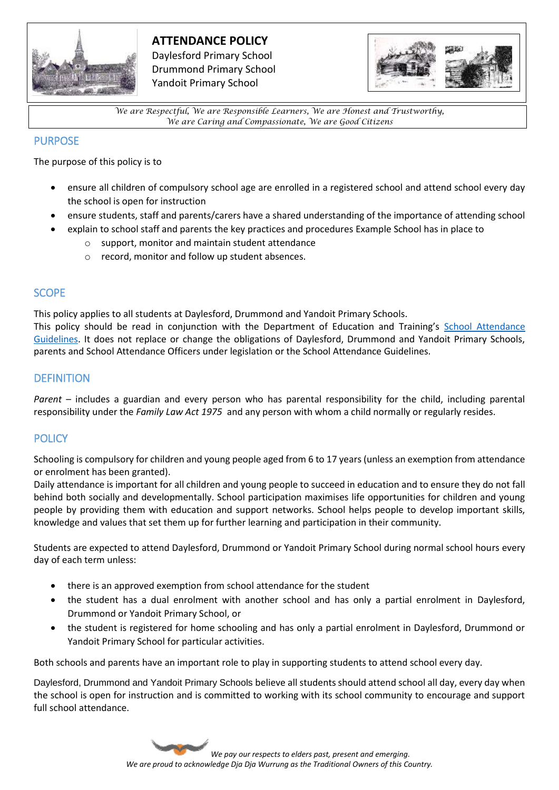

# **ATTENDANCE POLICY**

Daylesford Primary School Drummond Primary School Yandoit Primary School



*We are Respectful, We are Responsible Learners, We are Honest and Trustworthy, We are Caring and Compassionate, We are Good Citizens*

# PURPOSE

The purpose of this policy is to

- ensure all children of compulsory school age are enrolled in a registered school and attend school every day the school is open for instruction
- ensure students, staff and parents/carers have a shared understanding of the importance of attending school
- explain to school staff and parents the key practices and procedures Example School has in place to
	- o support, monitor and maintain student attendance
	- o record, monitor and follow up student absences.

### **SCOPE**

This policy applies to all students at Daylesford, Drummond and Yandoit Primary Schools. This policy should be read in conjunction with the Department of Education and Training's [School Attendance](https://www.education.vic.gov.au/school/teachers/studentmanagement/attendance/Pages/default.aspx)  [Guidelines.](https://www.education.vic.gov.au/school/teachers/studentmanagement/attendance/Pages/default.aspx) It does not replace or change the obligations of Daylesford, Drummond and Yandoit Primary Schools, parents and School Attendance Officers under legislation or the School Attendance Guidelines.

# **DEFINITION**

*Parent* – includes a guardian and every person who has parental responsibility for the child, including parental responsibility under the *Family Law Act 1975* and any person with whom a child normally or regularly resides.

# **POLICY**

Schooling is compulsory for children and young people aged from 6 to 17 years (unless an exemption from attendance or enrolment has been granted).

Daily attendance is important for all children and young people to succeed in education and to ensure they do not fall behind both socially and developmentally. School participation maximises life opportunities for children and young people by providing them with education and support networks. School helps people to develop important skills, knowledge and values that set them up for further learning and participation in their community.

Students are expected to attend Daylesford, Drummond or Yandoit Primary School during normal school hours every day of each term unless:

- there is an approved exemption from school attendance for the student
- the student has a dual enrolment with another school and has only a partial enrolment in Daylesford, Drummond or Yandoit Primary School, or
- the student is registered for home schooling and has only a partial enrolment in Daylesford, Drummond or Yandoit Primary School for particular activities.

Both schools and parents have an important role to play in supporting students to attend school every day.

Daylesford, Drummond and Yandoit Primary Schools believe all students should attend school all day, every day when the school is open for instruction and is committed to working with its school community to encourage and support full school attendance.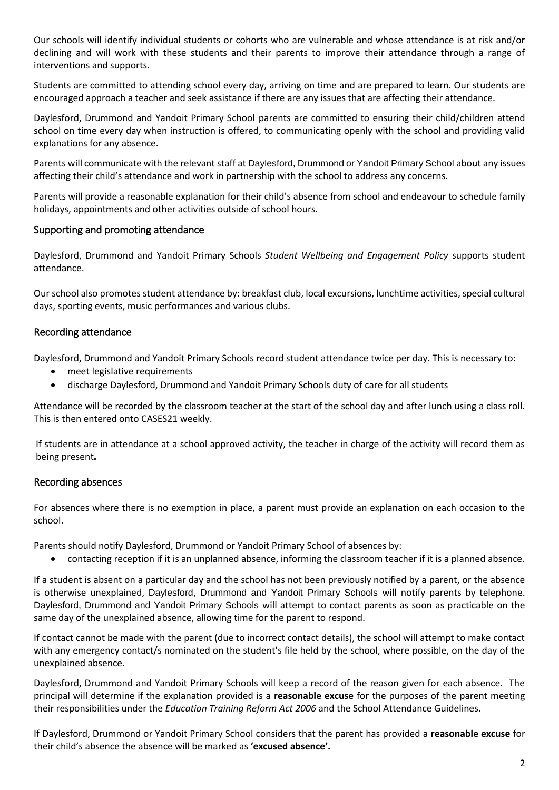Our schools will identify individual students or cohorts who are vulnerable and whose attendance is at risk and/or declining and will work with these students and their parents to improve their attendance through a range of interventions and supports.

Students are committed to attending school every day, arriving on time and are prepared to learn. Our students are encouraged approach a teacher and seek assistance if there are any issues that are affecting their attendance.

Daylesford, Drummond and Yandoit Primary School parents are committed to ensuring their child/children attend school on time every day when instruction is offered, to communicating openly with the school and providing valid explanations for any absence.

Parents will communicate with the relevant staff at Daylesford, Drummond or Yandoit Primary School about any issues affecting their child's attendance and work in partnership with the school to address any concerns.

Parents will provide a reasonable explanation for their child's absence from school and endeavour to schedule family holidays, appointments and other activities outside of school hours.

#### Supporting and promoting attendance

Daylesford, Drummond and Yandoit Primary Schools *Student Wellbeing and Engagement Policy* supports student attendance.

Our school also promotes student attendance by: breakfast club, local excursions, lunchtime activities, special cultural days, sporting events, music performances and various clubs.

### Recording attendance

Daylesford, Drummond and Yandoit Primary Schools record student attendance twice per day. This is necessary to:

- meet legislative requirements
- discharge Daylesford, Drummond and Yandoit Primary Schools duty of care for all students

Attendance will be recorded by the classroom teacher at the start of the school day and after lunch using a class roll. This is then entered onto CASES21 weekly.

If students are in attendance at a school approved activity, the teacher in charge of the activity will record them as being present**.**

#### Recording absences

For absences where there is no exemption in place, a parent must provide an explanation on each occasion to the school.

Parents should notify Daylesford, Drummond or Yandoit Primary School of absences by:

contacting reception if it is an unplanned absence, informing the classroom teacher if it is a planned absence.

If a student is absent on a particular day and the school has not been previously notified by a parent, or the absence is otherwise unexplained, Daylesford, Drummond and Yandoit Primary Schools will notify parents by telephone. Daylesford, Drummond and Yandoit Primary Schools will attempt to contact parents as soon as practicable on the same day of the unexplained absence, allowing time for the parent to respond.

If contact cannot be made with the parent (due to incorrect contact details), the school will attempt to make contact with any emergency contact/s nominated on the student's file held by the school, where possible, on the day of the unexplained absence.

Daylesford, Drummond and Yandoit Primary Schools will keep a record of the reason given for each absence. The principal will determine if the explanation provided is a **reasonable excuse** for the purposes of the parent meeting their responsibilities under the *Education Training Reform Act 2006* and the School Attendance Guidelines.

If Daylesford, Drummond or Yandoit Primary School considers that the parent has provided a **reasonable excuse** for their child's absence the absence will be marked as **'excused absence'.**